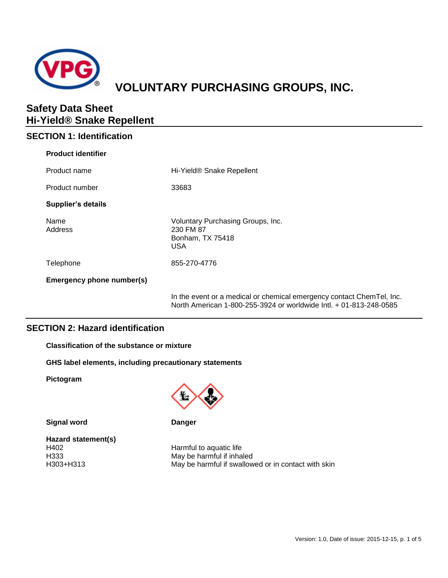

# **VOLUNTARY PURCHASING GROUPS, INC.**

## **Safety Data Sheet Hi-Yield® Snake Repellent**

## **SECTION 1: Identification**

| <b>Product identifier</b> |                                                                                                                                             |
|---------------------------|---------------------------------------------------------------------------------------------------------------------------------------------|
| Product name              | Hi-Yield <sup>®</sup> Snake Repellent                                                                                                       |
| Product number            | 33683                                                                                                                                       |
| <b>Supplier's details</b> |                                                                                                                                             |
| Name<br>Address           | Voluntary Purchasing Groups, Inc.<br>230 FM 87<br>Bonham, TX 75418<br>USA                                                                   |
| Telephone                 | 855-270-4776                                                                                                                                |
| Emergency phone number(s) |                                                                                                                                             |
|                           | In the event or a medical or chemical emergency contact ChemTel, Inc.<br>North American 1-800-255-3924 or worldwide Intl. + 01-813-248-0585 |

## **SECTION 2: Hazard identification**

**Classification of the substance or mixture**

**GHS label elements, including precautionary statements**

**Pictogram**



**Signal word Danger** 

**Hazard statement(s)** H402 Harmful to aquatic life<br>
H333 H333 Harmful if inhal

May be harmful if inhaled H303+H313 May be harmful if swallowed or in contact with skin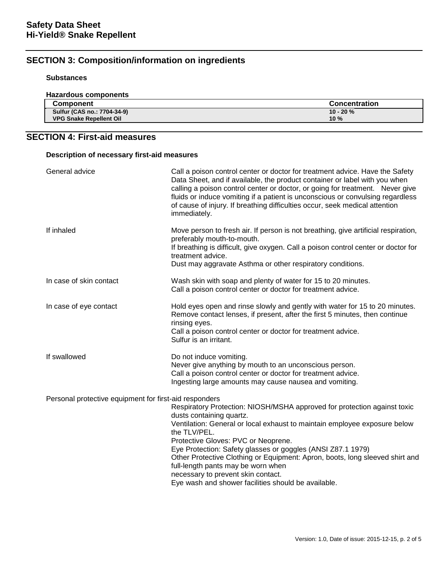## **SECTION 3: Composition/information on ingredients**

## **Substances**

| <b>Hazardous components</b>    |                      |
|--------------------------------|----------------------|
| <b>Component</b>               | <b>Concentration</b> |
| Sulfur (CAS no.: 7704-34-9)    | $10 - 20 \%$         |
| <b>VPG Snake Repellent Oil</b> | 10%                  |

## **SECTION 4: First-aid measures**

| Description of necessary first-aid measures            |                                                                                                                                                                                                                                                                                                                                                                                                                                                                                                                            |  |
|--------------------------------------------------------|----------------------------------------------------------------------------------------------------------------------------------------------------------------------------------------------------------------------------------------------------------------------------------------------------------------------------------------------------------------------------------------------------------------------------------------------------------------------------------------------------------------------------|--|
| General advice                                         | Call a poison control center or doctor for treatment advice. Have the Safety<br>Data Sheet, and if available, the product container or label with you when<br>calling a poison control center or doctor, or going for treatment. Never give<br>fluids or induce vomiting if a patient is unconscious or convulsing regardless<br>of cause of injury. If breathing difficulties occur, seek medical attention<br>immediately.                                                                                               |  |
| If inhaled                                             | Move person to fresh air. If person is not breathing, give artificial respiration,<br>preferably mouth-to-mouth.<br>If breathing is difficult, give oxygen. Call a poison control center or doctor for<br>treatment advice.<br>Dust may aggravate Asthma or other respiratory conditions.                                                                                                                                                                                                                                  |  |
| In case of skin contact                                | Wash skin with soap and plenty of water for 15 to 20 minutes.<br>Call a poison control center or doctor for treatment advice.                                                                                                                                                                                                                                                                                                                                                                                              |  |
| In case of eye contact                                 | Hold eyes open and rinse slowly and gently with water for 15 to 20 minutes.<br>Remove contact lenses, if present, after the first 5 minutes, then continue<br>rinsing eyes.<br>Call a poison control center or doctor for treatment advice.<br>Sulfur is an irritant.                                                                                                                                                                                                                                                      |  |
| If swallowed                                           | Do not induce vomiting.<br>Never give anything by mouth to an unconscious person.<br>Call a poison control center or doctor for treatment advice.<br>Ingesting large amounts may cause nausea and vomiting.                                                                                                                                                                                                                                                                                                                |  |
| Personal protective equipment for first-aid responders | Respiratory Protection: NIOSH/MSHA approved for protection against toxic<br>dusts containing quartz.<br>Ventilation: General or local exhaust to maintain employee exposure below<br>the TLV/PEL.<br>Protective Gloves: PVC or Neoprene.<br>Eye Protection: Safety glasses or goggles (ANSI Z87.1 1979)<br>Other Protective Clothing or Equipment: Apron, boots, long sleeved shirt and<br>full-length pants may be worn when<br>necessary to prevent skin contact.<br>Eye wash and shower facilities should be available. |  |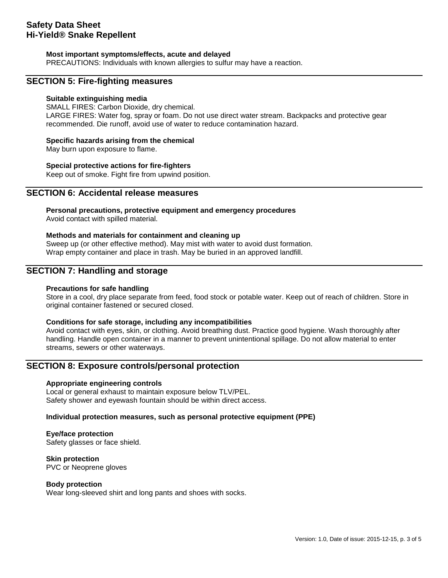### **Most important symptoms/effects, acute and delayed**

PRECAUTIONS: Individuals with known allergies to sulfur may have a reaction.

## **SECTION 5: Fire-fighting measures**

#### **Suitable extinguishing media**

SMALL FIRES: Carbon Dioxide, dry chemical. LARGE FIRES: Water fog, spray or foam. Do not use direct water stream. Backpacks and protective gear recommended. Die runoff, avoid use of water to reduce contamination hazard.

### **Specific hazards arising from the chemical**

May burn upon exposure to flame.

#### **Special protective actions for fire-fighters**

Keep out of smoke. Fight fire from upwind position.

## **SECTION 6: Accidental release measures**

**Personal precautions, protective equipment and emergency procedures** Avoid contact with spilled material.

### **Methods and materials for containment and cleaning up**

Sweep up (or other effective method). May mist with water to avoid dust formation. Wrap empty container and place in trash. May be buried in an approved landfill.

## **SECTION 7: Handling and storage**

#### **Precautions for safe handling**

Store in a cool, dry place separate from feed, food stock or potable water. Keep out of reach of children. Store in original container fastened or secured closed.

#### **Conditions for safe storage, including any incompatibilities**

Avoid contact with eyes, skin, or clothing. Avoid breathing dust. Practice good hygiene. Wash thoroughly after handling. Handle open container in a manner to prevent unintentional spillage. Do not allow material to enter streams, sewers or other waterways.

## **SECTION 8: Exposure controls/personal protection**

#### **Appropriate engineering controls**

Local or general exhaust to maintain exposure below TLV/PEL. Safety shower and eyewash fountain should be within direct access.

#### **Individual protection measures, such as personal protective equipment (PPE)**

### **Eye/face protection**

Safety glasses or face shield.

#### **Skin protection**

PVC or Neoprene gloves

#### **Body protection**

Wear long-sleeved shirt and long pants and shoes with socks.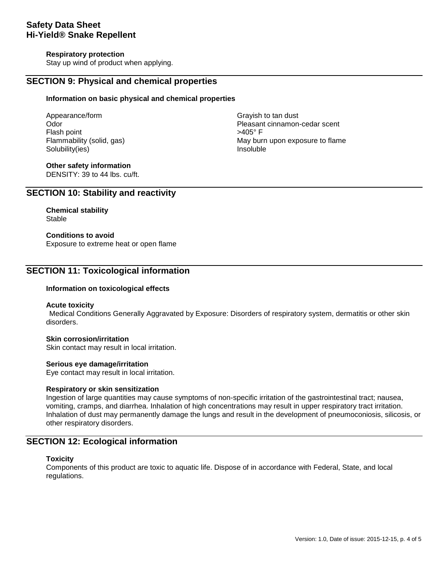### **Respiratory protection**

Stay up wind of product when applying.

## **SECTION 9: Physical and chemical properties**

#### **Information on basic physical and chemical properties**

Appearance/form **Grayish** to tan dust Flash point Solubility(ies) and the soluble soluble insoluble soluble insoluble

Odor Pleasant cinnamon-cedar scent Flammability (solid, gas) May burn upon exposure to flame

## **Other safety information**

DENSITY: 39 to 44 lbs. cu/ft.

## **SECTION 10: Stability and reactivity**

**Chemical stability** Stable

## **Conditions to avoid**

Exposure to extreme heat or open flame

## **SECTION 11: Toxicological information**

## **Information on toxicological effects**

#### **Acute toxicity**

Medical Conditions Generally Aggravated by Exposure: Disorders of respiratory system, dermatitis or other skin disorders.

## **Skin corrosion/irritation**

Skin contact may result in local irritation.

## **Serious eye damage/irritation**

Eye contact may result in local irritation.

## **Respiratory or skin sensitization**

Ingestion of large quantities may cause symptoms of non-specific irritation of the gastrointestinal tract; nausea, vomiting, cramps, and diarrhea. Inhalation of high concentrations may result in upper respiratory tract irritation. Inhalation of dust may permanently damage the lungs and result in the development of pneumoconiosis, silicosis, or other respiratory disorders.

## **SECTION 12: Ecological information**

#### **Toxicity**

Components of this product are toxic to aquatic life. Dispose of in accordance with Federal, State, and local regulations.